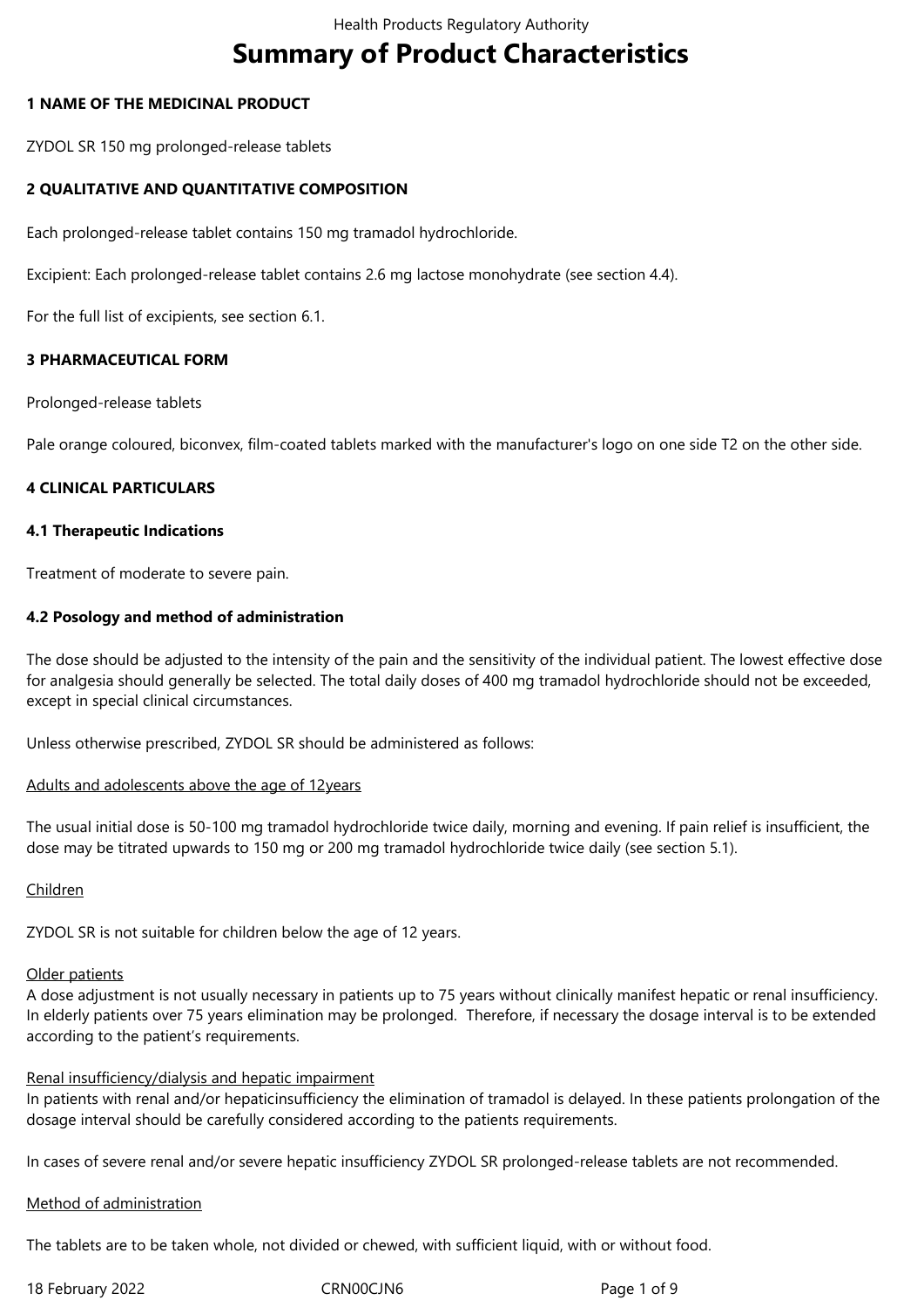# **Summary of Product Characteristics**

# **1 NAME OF THE MEDICINAL PRODUCT**

ZYDOL SR 150 mg prolonged-release tablets

# **2 QUALITATIVE AND QUANTITATIVE COMPOSITION**

Each prolonged-release tablet contains 150 mg tramadol hydrochloride.

Excipient: Each prolonged-release tablet contains 2.6 mg lactose monohydrate (see section 4.4).

For the full list of excipients, see section 6.1.

# **3 PHARMACEUTICAL FORM**

Prolonged-release tablets

Pale orange coloured, biconvex, film-coated tablets marked with the manufacturer's logo on one side T2 on the other side.

# **4 CLINICAL PARTICULARS**

## **4.1 Therapeutic Indications**

Treatment of moderate to severe pain.

# **4.2 Posology and method of administration**

The dose should be adjusted to the intensity of the pain and the sensitivity of the individual patient. The lowest effective dose for analgesia should generally be selected. The total daily doses of 400 mg tramadol hydrochloride should not be exceeded, except in special clinical circumstances.

Unless otherwise prescribed, ZYDOL SR should be administered as follows:

## Adults and adolescents above the age of 12years

The usual initial dose is 50-100 mg tramadol hydrochloride twice daily, morning and evening. If pain relief is insufficient, the dose may be titrated upwards to 150 mg or 200 mg tramadol hydrochloride twice daily (see section 5.1).

## Children

ZYDOL SR is not suitable for children below the age of 12 years.

## Older patients

A dose adjustment is not usually necessary in patients up to 75 years without clinically manifest hepatic or renal insufficiency. In elderly patients over 75 years elimination may be prolonged. Therefore, if necessary the dosage interval is to be extended according to the patient's requirements.

## Renal insufficiency/dialysis and hepatic impairment

In patients with renal and/or hepaticinsufficiency the elimination of tramadol is delayed. In these patients prolongation of the dosage interval should be carefully considered according to the patients requirements.

In cases of severe renal and/or severe hepatic insufficiency ZYDOL SR prolonged-release tablets are not recommended.

## Method of administration

The tablets are to be taken whole, not divided or chewed, with sufficient liquid, with or without food.

18 February 2022 CRN00CJN6 Page 1 of 9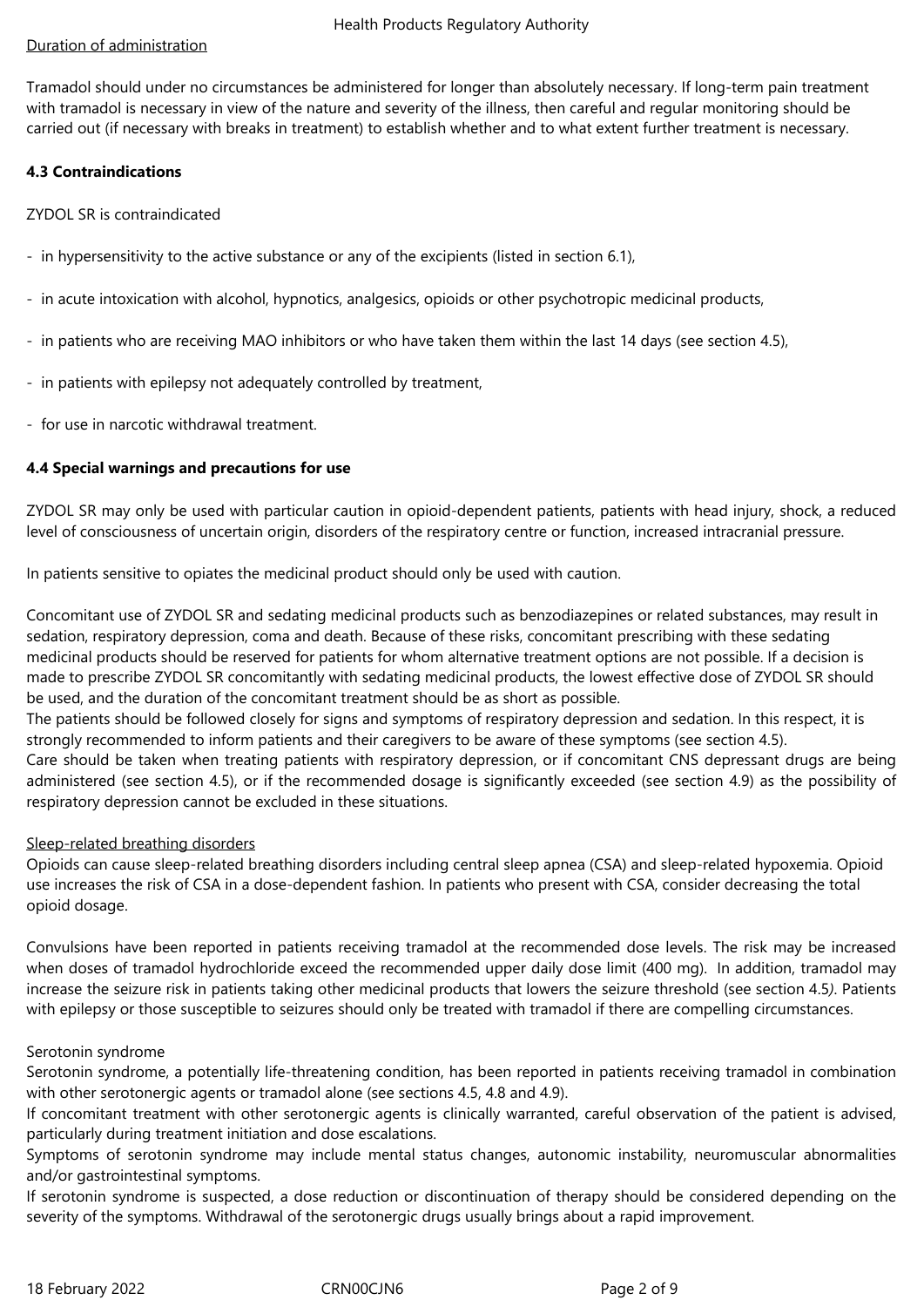## Duration of administration

Tramadol should under no circumstances be administered for longer than absolutely necessary. If long-term pain treatment with tramadol is necessary in view of the nature and severity of the illness, then careful and regular monitoring should be carried out (if necessary with breaks in treatment) to establish whether and to what extent further treatment is necessary.

## **4.3 Contraindications**

ZYDOL SR is contraindicated

- in hypersensitivity to the active substance or any of the excipients (listed in section 6.1),
- in acute intoxication with alcohol, hypnotics, analgesics, opioids or other psychotropic medicinal products,
- in patients who are receiving MAO inhibitors or who have taken them within the last 14 days (see section 4.5),
- in patients with epilepsy not adequately controlled by treatment,
- for use in narcotic withdrawal treatment.

# **4.4 Special warnings and precautions for use**

ZYDOL SR may only be used with particular caution in opioid-dependent patients, patients with head injury, shock, a reduced level of consciousness of uncertain origin, disorders of the respiratory centre or function, increased intracranial pressure.

In patients sensitive to opiates the medicinal product should only be used with caution.

Concomitant use of ZYDOL SR and sedating medicinal products such as benzodiazepines or related substances, may result in sedation, respiratory depression, coma and death. Because of these risks, concomitant prescribing with these sedating medicinal products should be reserved for patients for whom alternative treatment options are not possible. If a decision is made to prescribe ZYDOL SR concomitantly with sedating medicinal products, the lowest effective dose of ZYDOL SR should be used, and the duration of the concomitant treatment should be as short as possible.

The patients should be followed closely for signs and symptoms of respiratory depression and sedation. In this respect, it is strongly recommended to inform patients and their caregivers to be aware of these symptoms (see section 4.5).

Care should be taken when treating patients with respiratory depression, or if concomitant CNS depressant drugs are being administered (see section 4.5), or if the recommended dosage is significantly exceeded (see section 4.9) as the possibility of respiratory depression cannot be excluded in these situations.

## Sleep-related breathing disorders

Opioids can cause sleep-related breathing disorders including central sleep apnea (CSA) and sleep-related hypoxemia. Opioid use increases the risk of CSA in a dose-dependent fashion. In patients who present with CSA, consider decreasing the total opioid dosage.

Convulsions have been reported in patients receiving tramadol at the recommended dose levels. The risk may be increased when doses of tramadol hydrochloride exceed the recommended upper daily dose limit (400 mg). In addition, tramadol may increase the seizure risk in patients taking other medicinal products that lowers the seizure threshold (see section 4.5*)*. Patients with epilepsy or those susceptible to seizures should only be treated with tramadol if there are compelling circumstances.

## Serotonin syndrome

Serotonin syndrome, a potentially life-threatening condition, has been reported in patients receiving tramadol in combination with other serotonergic agents or tramadol alone (see sections 4.5, 4.8 and 4.9).

If concomitant treatment with other serotonergic agents is clinically warranted, careful observation of the patient is advised, particularly during treatment initiation and dose escalations.

Symptoms of serotonin syndrome may include mental status changes, autonomic instability, neuromuscular abnormalities and/or gastrointestinal symptoms.

If serotonin syndrome is suspected, a dose reduction or discontinuation of therapy should be considered depending on the severity of the symptoms. Withdrawal of the serotonergic drugs usually brings about a rapid improvement.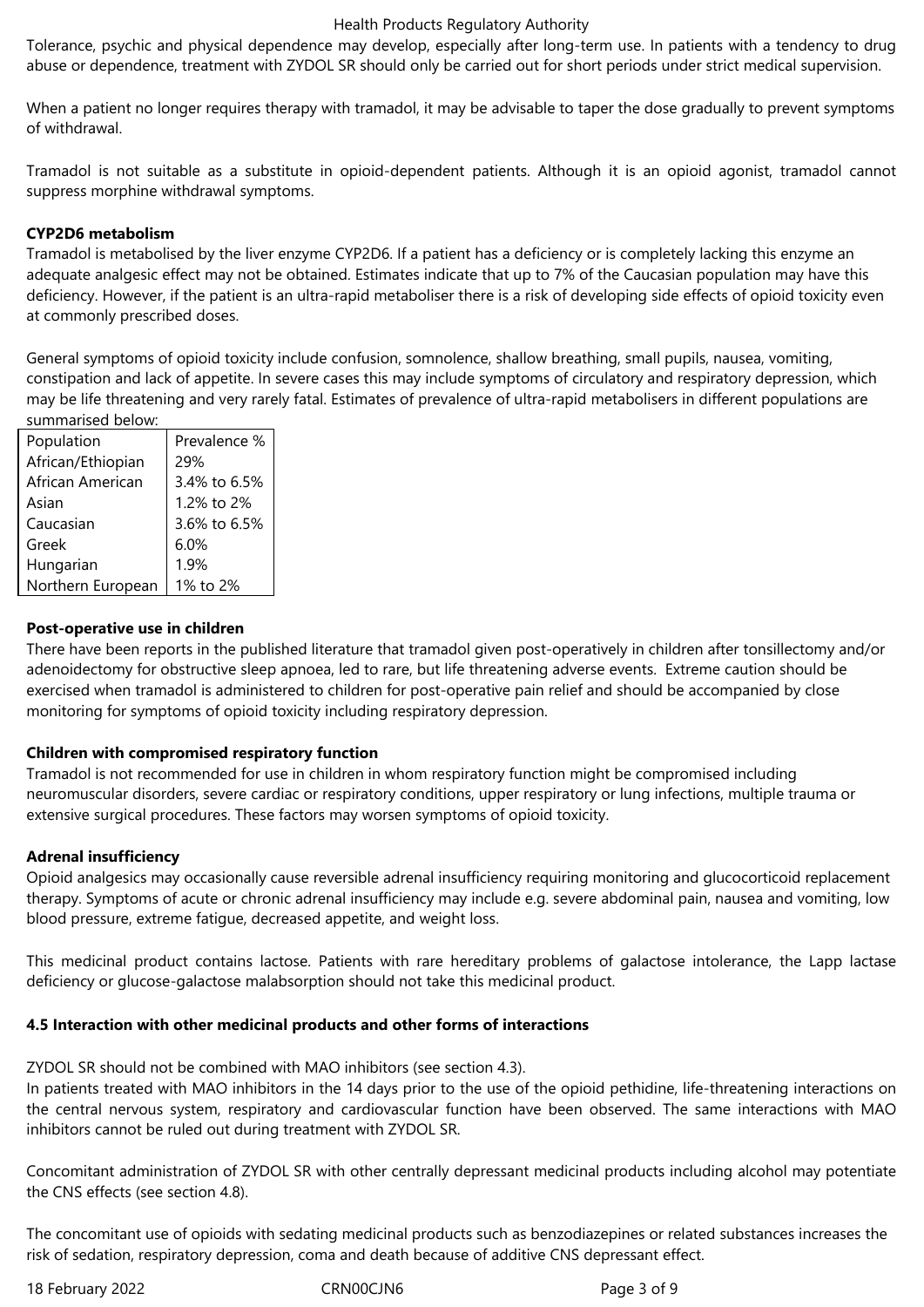#### Health Products Regulatory Authority

Tolerance, psychic and physical dependence may develop, especially after long-term use. In patients with a tendency to drug abuse or dependence, treatment with ZYDOL SR should only be carried out for short periods under strict medical supervision.

When a patient no longer requires therapy with tramadol, it may be advisable to taper the dose gradually to prevent symptoms of withdrawal.

Tramadol is not suitable as a substitute in opioid-dependent patients. Although it is an opioid agonist, tramadol cannot suppress morphine withdrawal symptoms.

# **CYP2D6 metabolism**

Tramadol is metabolised by the liver enzyme CYP2D6. If a patient has a deficiency or is completely lacking this enzyme an adequate analgesic effect may not be obtained. Estimates indicate that up to 7% of the Caucasian population may have this deficiency. However, if the patient is an ultra-rapid metaboliser there is a risk of developing side effects of opioid toxicity even at commonly prescribed doses.

General symptoms of opioid toxicity include confusion, somnolence, shallow breathing, small pupils, nausea, vomiting, constipation and lack of appetite. In severe cases this may include symptoms of circulatory and respiratory depression, which may be life threatening and very rarely fatal. Estimates of prevalence of ultra-rapid metabolisers in different populations are summarised below:

| Population        | Prevalence % |
|-------------------|--------------|
| African/Ethiopian | 29%          |
| African American  | 3.4% to 6.5% |
| Asian             | 1.2% to 2%   |
| Caucasian         | 3.6% to 6.5% |
| Greek             | 6.0%         |
| Hungarian         | 1.9%         |
| Northern European | 1% to 2%     |

## **Post-operative use in children**

There have been reports in the published literature that tramadol given post-operatively in children after tonsillectomy and/or adenoidectomy for obstructive sleep apnoea, led to rare, but life threatening adverse events. Extreme caution should be exercised when tramadol is administered to children for post-operative pain relief and should be accompanied by close monitoring for symptoms of opioid toxicity including respiratory depression.

# **Children with compromised respiratory function**

Tramadol is not recommended for use in children in whom respiratory function might be compromised including neuromuscular disorders, severe cardiac or respiratory conditions, upper respiratory or lung infections, multiple trauma or extensive surgical procedures. These factors may worsen symptoms of opioid toxicity.

## **Adrenal insufficiency**

Opioid analgesics may occasionally cause reversible adrenal insufficiency requiring monitoring and glucocorticoid replacement therapy. Symptoms of acute or chronic adrenal insufficiency may include e.g. severe abdominal pain, nausea and vomiting, low blood pressure, extreme fatigue, decreased appetite, and weight loss.

This medicinal product contains lactose. Patients with rare hereditary problems of galactose intolerance, the Lapp lactase deficiency or glucose-galactose malabsorption should not take this medicinal product.

## **4.5 Interaction with other medicinal products and other forms of interactions**

ZYDOL SR should not be combined with MAO inhibitors (see section 4.3).

In patients treated with MAO inhibitors in the 14 days prior to the use of the opioid pethidine, life-threatening interactions on the central nervous system, respiratory and cardiovascular function have been observed. The same interactions with MAO inhibitors cannot be ruled out during treatment with ZYDOL SR.

Concomitant administration of ZYDOL SR with other centrally depressant medicinal products including alcohol may potentiate the CNS effects (see section 4.8).

The concomitant use of opioids with sedating medicinal products such as benzodiazepines or related substances increases the risk of sedation, respiratory depression, coma and death because of additive CNS depressant effect.

18 February 2022 CRN00CJN6 Page 3 of 9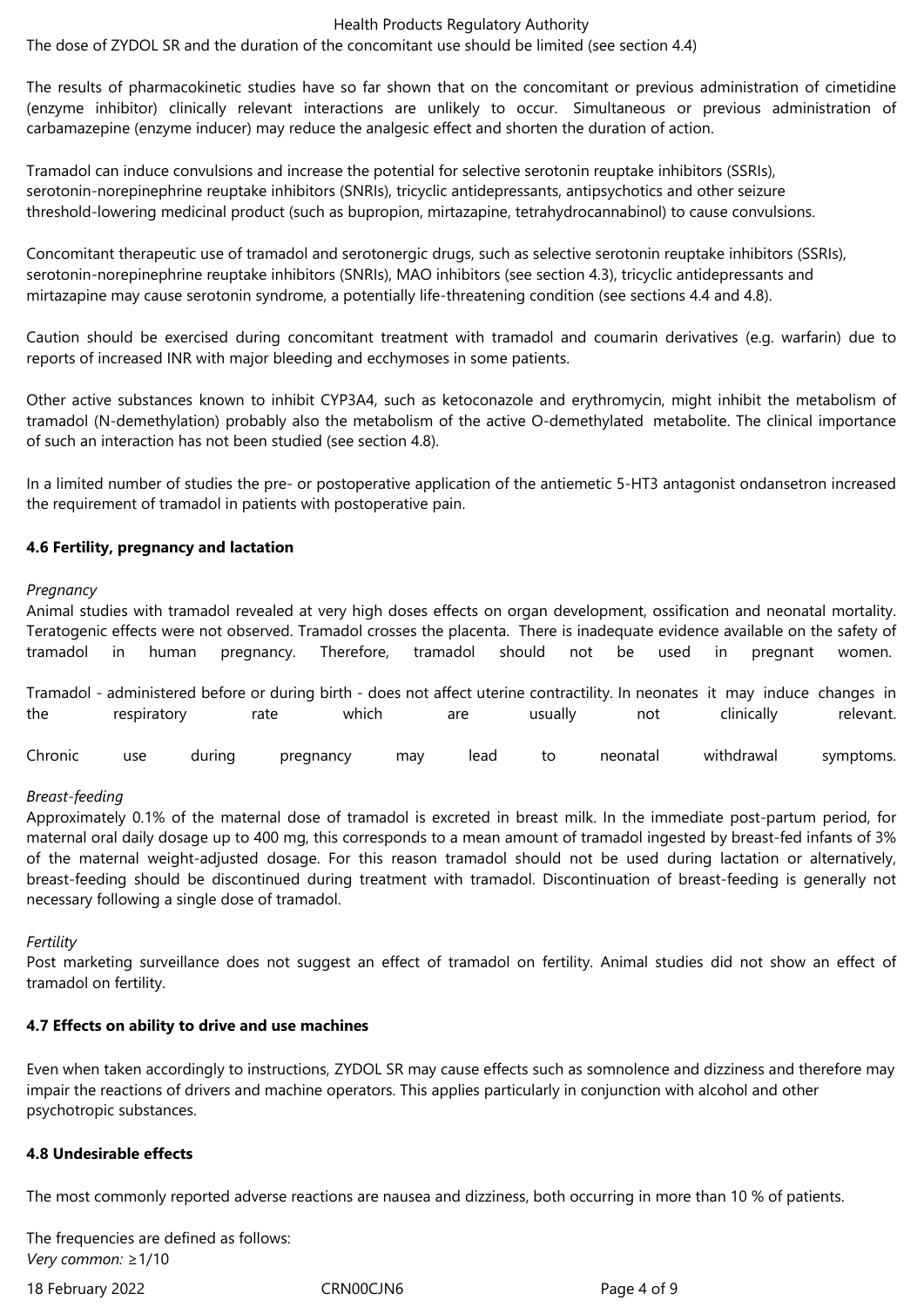#### Health Products Regulatory Authority

The dose of ZYDOL SR and the duration of the concomitant use should be limited (see section 4.4)

The results of pharmacokinetic studies have so far shown that on the concomitant or previous administration of cimetidine (enzyme inhibitor) clinically relevant interactions are unlikely to occur. Simultaneous or previous administration of carbamazepine (enzyme inducer) may reduce the analgesic effect and shorten the duration of action.

Tramadol can induce convulsions and increase the potential for selective serotonin reuptake inhibitors (SSRIs), serotonin-norepinephrine reuptake inhibitors (SNRIs), tricyclic antidepressants, antipsychotics and other seizure threshold-lowering medicinal product (such as bupropion, mirtazapine, tetrahydrocannabinol) to cause convulsions.

Concomitant therapeutic use of tramadol and serotonergic drugs, such as selective serotonin reuptake inhibitors (SSRIs), serotonin-norepinephrine reuptake inhibitors (SNRIs), MAO inhibitors (see section 4.3), tricyclic antidepressants and mirtazapine may cause serotonin syndrome, a potentially life-threatening condition (see sections 4.4 and 4.8).

Caution should be exercised during concomitant treatment with tramadol and coumarin derivatives (e.g. warfarin) due to reports of increased INR with major bleeding and ecchymoses in some patients.

Other active substances known to inhibit CYP3A4, such as ketoconazole and erythromycin, might inhibit the metabolism of tramadol (N-demethylation) probably also the metabolism of the active O‑demethylated metabolite. The clinical importance of such an interaction has not been studied (see section 4.8).

In a limited number of studies the pre- or postoperative application of the antiemetic 5-HT3 antagonist ondansetron increased the requirement of tramadol in patients with postoperative pain.

## **4.6 Fertility, pregnancy and lactation**

#### *Pregnancy*

Animal studies with tramadol revealed at very high doses effects on organ development, ossification and neonatal mortality. Teratogenic effects were not observed. Tramadol crosses the placenta. There is inadequate evidence available on the safety of tramadol in human pregnancy. Therefore, tramadol should not be used in pregnant women.

Tramadol - administered before or during birth - does not affect uterine contractility. In neonates it may induce changes in the respiratory rate which are usually not clinically relevant.

Chronic use during pregnancy may lead to neonatal withdrawal symptoms.

## *Breast-feeding*

Approximately 0.1% of the maternal dose of tramadol is excreted in breast milk. In the immediate post-partum period, for maternal oral daily dosage up to 400 mg, this corresponds to a mean amount of tramadol ingested by breast-fed infants of 3% of the maternal weight-adjusted dosage. For this reason tramadol should not be used during lactation or alternatively, breast-feeding should be discontinued during treatment with tramadol. Discontinuation of breast-feeding is generally not necessary following a single dose of tramadol.

## *Fertility*

Post marketing surveillance does not suggest an effect of tramadol on fertility. Animal studies did not show an effect of tramadol on fertility.

## **4.7 Effects on ability to drive and use machines**

Even when taken accordingly to instructions, ZYDOL SR may cause effects such as somnolence and dizziness and therefore may impair the reactions of drivers and machine operators. This applies particularly in conjunction with alcohol and other psychotropic substances.

## **4.8 Undesirable effects**

The most commonly reported adverse reactions are nausea and dizziness, both occurring in more than 10 % of patients.

The frequencies are defined as follows: *Very common:* ≥1/10

18 February 2022 CRN00CJN6 Page 4 of 9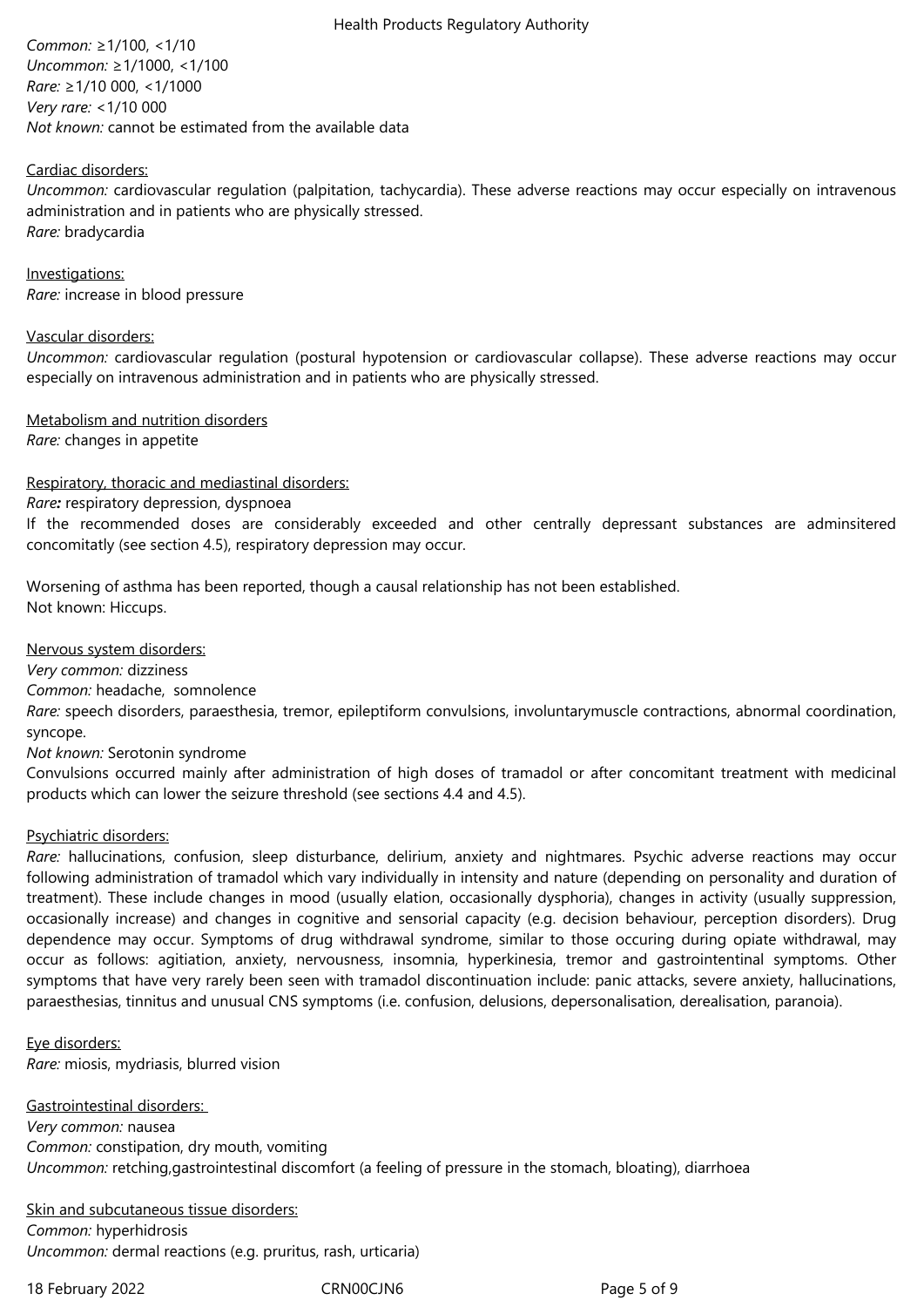*Common:* ≥1/100, <1/10 *Uncommon:* ≥1/1000, <1/100 *Rare:* ≥1/10 000, <1/1000 *Very rare:* <1/10 000 *Not known:* cannot be estimated from the available data

## Cardiac disorders:

*Uncommon:* cardiovascular regulation (palpitation, tachycardia). These adverse reactions may occur especially on intravenous administration and in patients who are physically stressed. *Rare:* bradycardia

Investigations: *Rare:* increase in blood pressure

## Vascular disorders:

*Uncommon:* cardiovascular regulation (postural hypotension or cardiovascular collapse). These adverse reactions may occur especially on intravenous administration and in patients who are physically stressed.

Metabolism and nutrition disorders

*Rare:* changes in appetite

# Respiratory, thoracic and mediastinal disorders:

# *Rare:* respiratory depression, dyspnoea

If the recommended doses are considerably exceeded and other centrally depressant substances are adminsitered concomitatly (see section 4.5), respiratory depression may occur.

Worsening of asthma has been reported, though a causal relationship has not been established. Not known: Hiccups.

Nervous system disorders:

*Very common:* dizziness

*Common:* headache, somnolence

*Rare:* speech disorders, paraesthesia, tremor, epileptiform convulsions, involuntarymuscle contractions, abnormal coordination, syncope.

*Not known:* Serotonin syndrome

Convulsions occurred mainly after administration of high doses of tramadol or after concomitant treatment with medicinal products which can lower the seizure threshold (see sections 4.4 and 4.5).

## Psychiatric disorders:

*Rare:* hallucinations, confusion, sleep disturbance, delirium, anxiety and nightmares. Psychic adverse reactions may occur following administration of tramadol which vary individually in intensity and nature (depending on personality and duration of treatment). These include changes in mood (usually elation, occasionally dysphoria), changes in activity (usually suppression, occasionally increase) and changes in cognitive and sensorial capacity (e.g. decision behaviour, perception disorders). Drug dependence may occur. Symptoms of drug withdrawal syndrome, similar to those occuring during opiate withdrawal, may occur as follows: agitiation, anxiety, nervousness, insomnia, hyperkinesia, tremor and gastrointentinal symptoms. Other symptoms that have very rarely been seen with tramadol discontinuation include: panic attacks, severe anxiety, hallucinations, paraesthesias, tinnitus and unusual CNS symptoms (i.e. confusion, delusions, depersonalisation, derealisation, paranoia).

Eye disorders: *Rare:* miosis, mydriasis, blurred vision

Gastrointestinal disorders: *Very common:* nausea *Common:* constipation, dry mouth, vomiting *Uncommon:* retching,gastrointestinal discomfort (a feeling of pressure in the stomach, bloating), diarrhoea

Skin and subcutaneous tissue disorders: *Common:* hyperhidrosis *Uncommon:* dermal reactions (e.g. pruritus, rash, urticaria)

18 February 2022 CRN00CJN6 CRNO0CJN6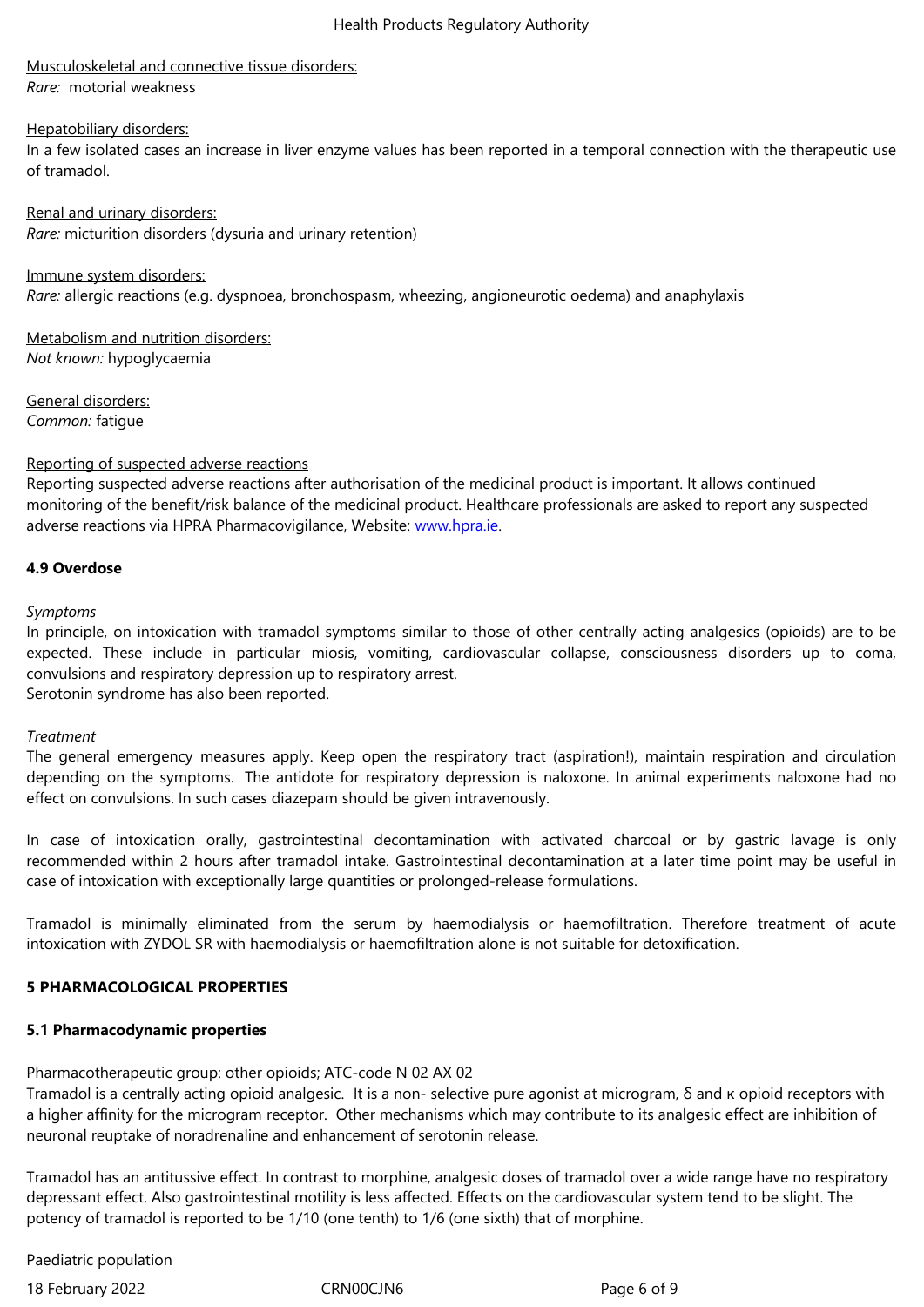*Rare:*  motorial weakness

#### Hepatobiliary disorders:

In a few isolated cases an increase in liver enzyme values has been reported in a temporal connection with the therapeutic use of tramadol.

Renal and urinary disorders: *Rare:* micturition disorders (dysuria and urinary retention)

Immune system disorders: *Rare:* allergic reactions (e.g. dyspnoea, bronchospasm, wheezing, angioneurotic oedema) and anaphylaxis

Metabolism and nutrition disorders: *Not known:* hypoglycaemia

General disorders: *Common:* fatigue

#### Reporting of suspected adverse reactions

Reporting suspected adverse reactions after authorisation of the medicinal product is important. It allows continued monitoring of the benefit/risk balance of the medicinal product. Healthcare professionals are asked to report any suspected adverse reactions via HPRA Pharmacovigilance, Website: www.hpra.ie.

## **4.9 Overdose**

*Symptoms*

In principle, on intoxication with tramadol symptoms similar to those of other centrally acting analgesics (opioids) are to be expected. These include in particular miosis, vomiting, cardiovascular collapse, consciousness disorders up to coma, convulsions and respiratory depression up to respiratory arrest.

Serotonin syndrome has also been reported.

#### *Treatment*

The general emergency measures apply. Keep open the respiratory tract (aspiration!), maintain respiration and circulation depending on the symptoms. The antidote for respiratory depression is naloxone. In animal experiments naloxone had no effect on convulsions. In such cases diazepam should be given intravenously.

In case of intoxication orally, gastrointestinal decontamination with activated charcoal or by gastric lavage is only recommended within 2 hours after tramadol intake. Gastrointestinal decontamination at a later time point may be useful in case of intoxication with exceptionally large quantities or prolonged-release formulations.

Tramadol is minimally eliminated from the serum by haemodialysis or haemofiltration. Therefore treatment of acute intoxication with ZYDOL SR with haemodialysis or haemofiltration alone is not suitable for detoxification.

## **5 PHARMACOLOGICAL PROPERTIES**

## **5.1 Pharmacodynamic properties**

Pharmacotherapeutic group: other opioids; ATC-code N 02 AX 02

Tramadol is a centrally acting opioid analgesic. It is a non- selective pure agonist at microgram, δ and κ opioid receptors with a higher affinity for the microgram receptor. Other mechanisms which may contribute to its analgesic effect are inhibition of neuronal reuptake of noradrenaline and enhancement of serotonin release.

Tramadol has an antitussive effect. In contrast to morphine, analgesic doses of tramadol over a wide range have no respiratory depressant effect. Also gastrointestinal motility is less affected. Effects on the cardiovascular system tend to be slight. The potency of tramadol is reported to be 1/10 (one tenth) to 1/6 (one sixth) that of morphine.

Paediatric population

18 February 2022 **CRNOOCJN6** CRNOOCJN6 Page 6 of 9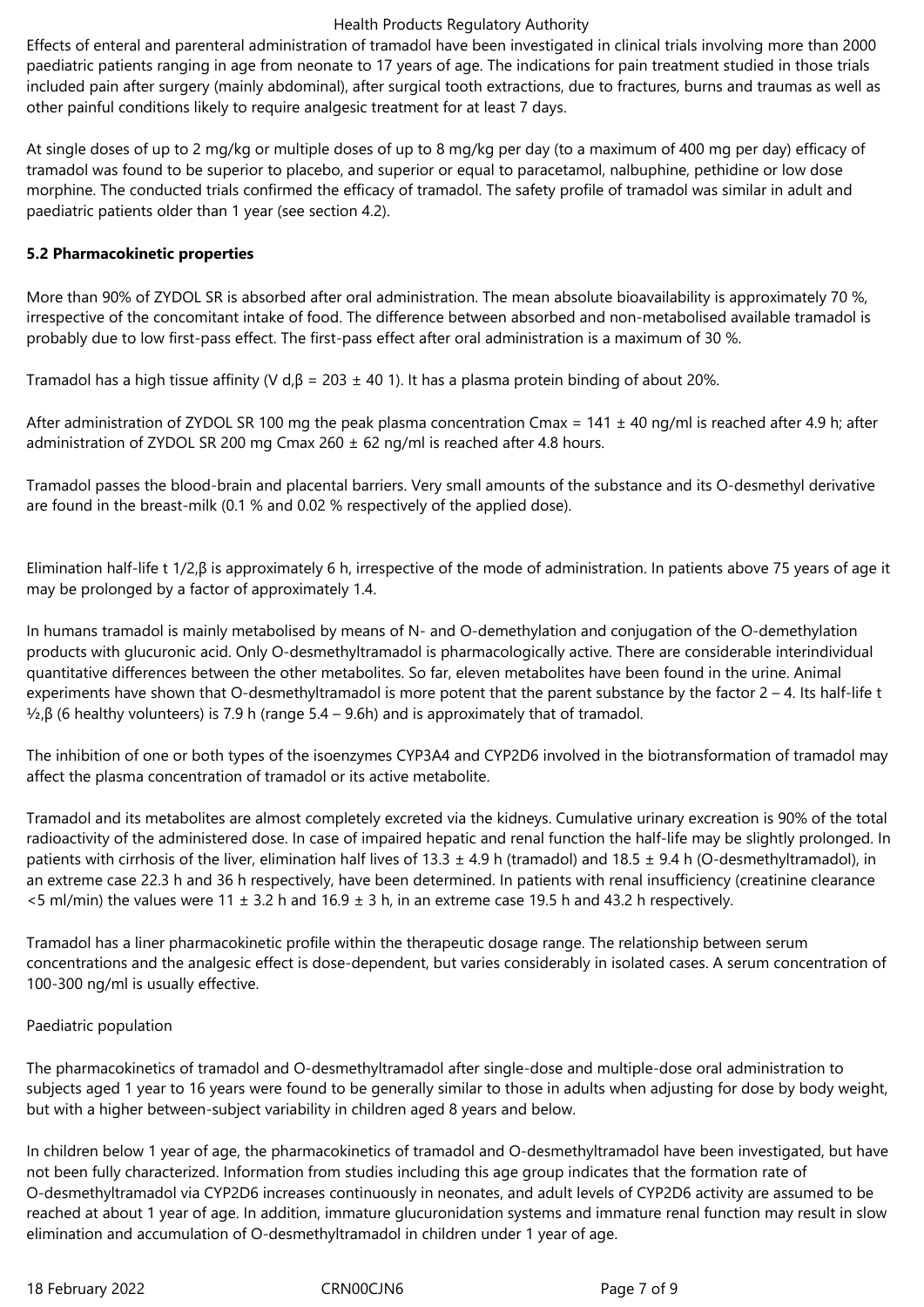#### Health Products Regulatory Authority

Effects of enteral and parenteral administration of tramadol have been investigated in clinical trials involving more than 2000 paediatric patients ranging in age from neonate to 17 years of age. The indications for pain treatment studied in those trials included pain after surgery (mainly abdominal), after surgical tooth extractions, due to fractures, burns and traumas as well as other painful conditions likely to require analgesic treatment for at least 7 days.

At single doses of up to 2 mg/kg or multiple doses of up to 8 mg/kg per day (to a maximum of 400 mg per day) efficacy of tramadol was found to be superior to placebo, and superior or equal to paracetamol, nalbuphine, pethidine or low dose morphine. The conducted trials confirmed the efficacy of tramadol. The safety profile of tramadol was similar in adult and paediatric patients older than 1 year (see section 4.2).

# **5.2 Pharmacokinetic properties**

More than 90% of ZYDOL SR is absorbed after oral administration. The mean absolute bioavailability is approximately 70 %, irrespective of the concomitant intake of food. The difference between absorbed and non-metabolised available tramadol is probably due to low first-pass effect. The first-pass effect after oral administration is a maximum of 30 %.

Tramadol has a high tissue affinity (V d, $β = 203 ± 40$  1). It has a plasma protein binding of about 20%.

After administration of ZYDOL SR 100 mg the peak plasma concentration Cmax =  $141 \pm 40$  ng/ml is reached after 4.9 h; after administration of ZYDOL SR 200 mg Cmax 260  $\pm$  62 ng/ml is reached after 4.8 hours.

Tramadol passes the blood-brain and placental barriers. Very small amounts of the substance and its O-desmethyl derivative are found in the breast-milk (0.1 % and 0.02 % respectively of the applied dose).

Elimination half-life t 1/2,β is approximately 6 h, irrespective of the mode of administration. In patients above 75 years of age it may be prolonged by a factor of approximately 1.4.

In humans tramadol is mainly metabolised by means of N- and O-demethylation and conjugation of the O-demethylation products with glucuronic acid. Only O-desmethyltramadol is pharmacologically active. There are considerable interindividual quantitative differences between the other metabolites. So far, eleven metabolites have been found in the urine. Animal experiments have shown that O-desmethyltramadol is more potent that the parent substance by the factor  $2 - 4$ . Its half-life t  $\frac{1}{2}$ ,β (6 healthy volunteers) is 7.9 h (range 5.4 – 9.6h) and is approximately that of tramadol.

The inhibition of one or both types of the isoenzymes CYP3A4 and CYP2D6 involved in the biotransformation of tramadol may affect the plasma concentration of tramadol or its active metabolite.

Tramadol and its metabolites are almost completely excreted via the kidneys. Cumulative urinary excreation is 90% of the total radioactivity of the administered dose. In case of impaired hepatic and renal function the half-life may be slightly prolonged. In patients with cirrhosis of the liver, elimination half lives of 13.3  $\pm$  4.9 h (tramadol) and 18.5  $\pm$  9.4 h (O-desmethyltramadol), in an extreme case 22.3 h and 36 h respectively, have been determined. In patients with renal insufficiency (creatinine clearance  $5$  ml/min) the values were 11  $\pm$  3.2 h and 16.9  $\pm$  3 h, in an extreme case 19.5 h and 43.2 h respectively.

Tramadol has a liner pharmacokinetic profile within the therapeutic dosage range. The relationship between serum concentrations and the analgesic effect is dose-dependent, but varies considerably in isolated cases. A serum concentration of 100-300 ng/ml is usually effective.

# Paediatric population

The pharmacokinetics of tramadol and O-desmethyltramadol after single-dose and multiple-dose oral administration to subjects aged 1 year to 16 years were found to be generally similar to those in adults when adjusting for dose by body weight, but with a higher between-subject variability in children aged 8 years and below.

In children below 1 year of age, the pharmacokinetics of tramadol and O-desmethyltramadol have been investigated, but have not been fully characterized. Information from studies including this age group indicates that the formation rate of O-desmethyltramadol via CYP2D6 increases continuously in neonates, and adult levels of CYP2D6 activity are assumed to be reached at about 1 year of age. In addition, immature glucuronidation systems and immature renal function may result in slow elimination and accumulation of O-desmethyltramadol in children under 1 year of age.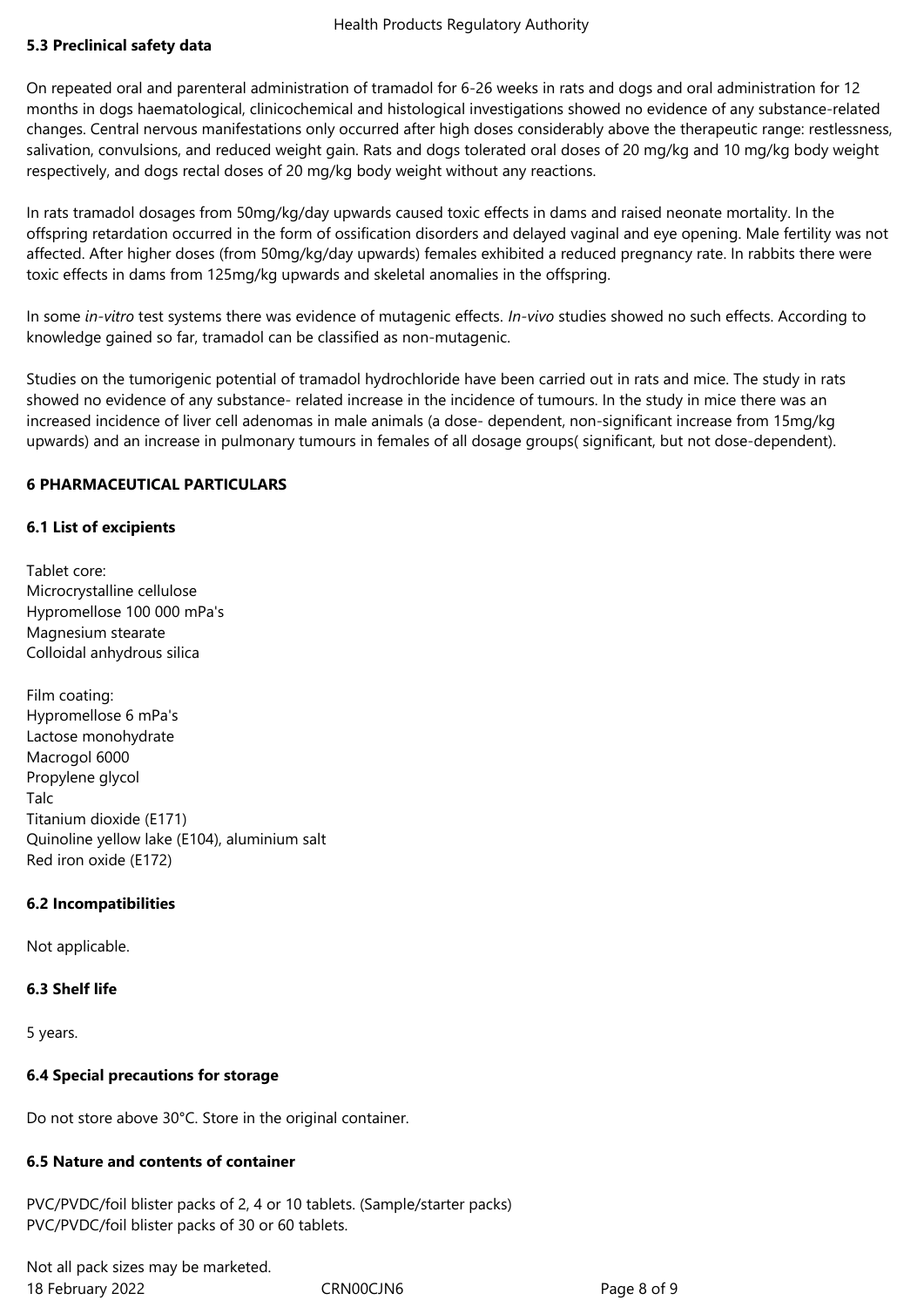# **5.3 Preclinical safety data**

On repeated oral and parenteral administration of tramadol for 6-26 weeks in rats and dogs and oral administration for 12 months in dogs haematological, clinicochemical and histological investigations showed no evidence of any substance-related changes. Central nervous manifestations only occurred after high doses considerably above the therapeutic range: restlessness, salivation, convulsions, and reduced weight gain. Rats and dogs tolerated oral doses of 20 mg/kg and 10 mg/kg body weight respectively, and dogs rectal doses of 20 mg/kg body weight without any reactions.

In rats tramadol dosages from 50mg/kg/day upwards caused toxic effects in dams and raised neonate mortality. In the offspring retardation occurred in the form of ossification disorders and delayed vaginal and eye opening. Male fertility was not affected. After higher doses (from 50mg/kg/day upwards) females exhibited a reduced pregnancy rate. In rabbits there were toxic effects in dams from 125mg/kg upwards and skeletal anomalies in the offspring.

In some *in-vitro* test systems there was evidence of mutagenic effects. *In-vivo* studies showed no such effects. According to knowledge gained so far, tramadol can be classified as non-mutagenic.

Studies on the tumorigenic potential of tramadol hydrochloride have been carried out in rats and mice. The study in rats showed no evidence of any substance- related increase in the incidence of tumours. In the study in mice there was an increased incidence of liver cell adenomas in male animals (a dose- dependent, non-significant increase from 15mg/kg upwards) and an increase in pulmonary tumours in females of all dosage groups( significant, but not dose-dependent).

# **6 PHARMACEUTICAL PARTICULARS**

## **6.1 List of excipients**

Tablet core: Microcrystalline cellulose Hypromellose 100 000 mPa's Magnesium stearate Colloidal anhydrous silica

Film coating: Hypromellose 6 mPa's Lactose monohydrate Macrogol 6000 Propylene glycol Talc Titanium dioxide (E171) Quinoline yellow lake (E104), aluminium salt Red iron oxide (E172)

## **6.2 Incompatibilities**

Not applicable.

## **6.3 Shelf life**

5 years.

## **6.4 Special precautions for storage**

Do not store above 30°C. Store in the original container.

## **6.5 Nature and contents of container**

PVC/PVDC/foil blister packs of 2, 4 or 10 tablets. (Sample/starter packs) PVC/PVDC/foil blister packs of 30 or 60 tablets.